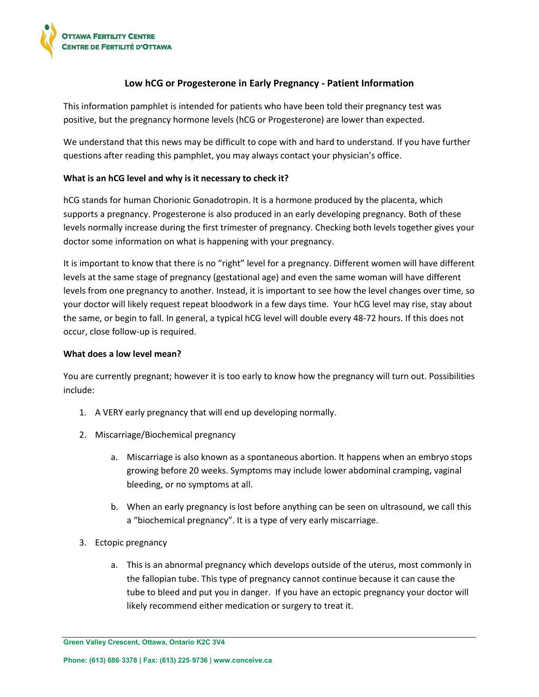

# **Low hCG or Progesterone in Early Pregnancy - Patient Information**

This information pamphlet is intended for patients who have been told their pregnancy test was positive, but the pregnancy hormone levels (hCG or Progesterone) are lower than expected.

We understand that this news may be difficult to cope with and hard to understand. If you have further questions after reading this pamphlet, you may always contact your physician's office.

## **What is an hCG level and why is it necessary to check it?**

hCG stands for human Chorionic Gonadotropin. It is a hormone produced by the placenta, which supports a pregnancy. Progesterone is also produced in an early developing pregnancy. Both of these levels normally increase during the first trimester of pregnancy. Checking both levels together gives your doctor some information on what is happening with your pregnancy.

It is important to know that there is no "right" level for a pregnancy. Different women will have different levels at the same stage of pregnancy (gestational age) and even the same woman will have different levels from one pregnancy to another. Instead, it is important to see how the level changes over time, so your doctor will likely request repeat bloodwork in a few days time. Your hCG level may rise, stay about the same, or begin to fall. In general, a typical hCG level will double every 48-72 hours. If this does not occur, close follow-up is required.

## **What does a low level mean?**

You are currently pregnant; however it is too early to know how the pregnancy will turn out. Possibilities include:

- 1. A VERY early pregnancy that will end up developing normally.
- 2. Miscarriage/Biochemical pregnancy
	- a. Miscarriage is also known as a spontaneous abortion. It happens when an embryo stops growing before 20 weeks. Symptoms may include lower abdominal cramping, vaginal bleeding, or no symptoms at all.
	- b. When an early pregnancy is lost before anything can be seen on ultrasound, we call this a "biochemical pregnancy". It is a type of very early miscarriage.
- 3. Ectopic pregnancy
	- a. This is an abnormal pregnancy which develops outside of the uterus, most commonly in the fallopian tube. This type of pregnancy cannot continue because it can cause the tube to bleed and put you in danger. If you have an ectopic pregnancy your doctor will likely recommend either medication or surgery to treat it.

**Green Valley Crescent, Ottawa, Ontario K2C 3V4**